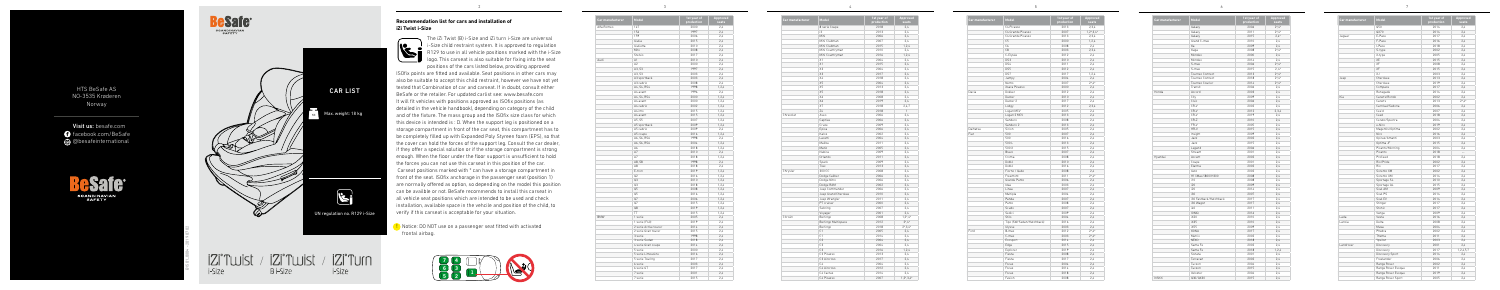## **Recommendation list for cars and installation of iZi Twist i-Size**



The iZi Twist (B) i-Size and iZi turn i-Size are universal i-Size child restraint system. It is approved to regulation R129 to use in all vehicle positions marked with the i-Size logo. This carseat is also suitable for fixing into the seat positions of the cars listed below, providing approved

ISOfix points are fitted and available. Seat positions in other cars may also be suitable to accept this child restraint, however we have not yet tested that Combination of car and carseat. If in doubt, consult either BeSafe or the retailer. For updated carlist see: www.besafe.com It will fit vehicles with positions approved as ISOfix positions (as detailed in the vehicle handbook), depending on category of the child and of the fixture. The mass group and the ISOfix size class for which this device is intended is : D. When the support leg is positioned on a storage compartment in front of the car seat, this compartment has to be completely filled up with Expanded Poly Styreen foam (EPS), so that the cover can hold the forces of the support leg. Consult the car dealer, if they offer a special solution or if the storage compartment is strong enough. When the floor under the floor support is unsufficient to hold the forces you can not use this carseat in this position of the car. Carseat positions marked with \* can have a storage compartment in front of the seat. ISOfix anchorage in the passenger seat (position 1) are normally offered as option, so depending on the model this position can be availble or not. BeSafe recommends to install this carseat in all vehicle seat positions which are intended to be used and check installation, available space in the vehcile and position of the child, to verify if this carseat is acceptable for your situation.

| Car manufacturer | Model                       | 1st year of<br>production | Approved<br>seats |
|------------------|-----------------------------|---------------------------|-------------------|
|                  | 8 serie Coupe               | 2018                      | 2.4               |
|                  | i3                          | 2013                      | 2.4               |
|                  | Mini                        | 2006                      | 2,4               |
|                  | Mini Clubman                | 2007                      | 2,4               |
|                  | Mini Clubman                | 2015                      | 1, 2, 4           |
|                  | Mini Countryman             | 2010                      | 2.4               |
|                  | Mini Countryman             | 2016                      | 1.2.4             |
|                  | X1                          | 2004                      | 2,4               |
|                  | X1                          | 2015                      | 2,4               |
|                  | X3                          | 2004                      | 2,4               |
|                  | X3                          | 2017                      | 2,4               |
|                  | X4                          | 2018                      | 2.4               |
|                  | X5                          | 2004                      | 2,4               |
|                  | X5                          | 2013                      | 2,4               |
|                  | X5                          | 2018                      | 2,4               |
|                  | Х6                          | 2008                      | 2,4               |
|                  | X6                          | 2019                      | 2.4               |
|                  | X7                          | 2018                      | 2,4,7             |
|                  | Z <sub>4</sub>              | 2018                      | 1                 |
| Chrevolet        | Aveo                        | 2006                      | 2.4               |
|                  | Captiva                     | 2006                      | 2,4               |
|                  | Cruze                       | 2009                      | 2.4               |
|                  | Epica                       | 2006                      | 2,4               |
|                  | Kalos                       | 2002                      | 2,4               |
|                  | Lacetti                     | 2004                      | 2,4               |
|                  | Malibu                      | 2011                      | 2,4               |
|                  | Matiz                       | 2005                      | 2.4               |
|                  | Nubira                      | 2009                      | 2,4               |
|                  | Orlando                     | 2011                      | 2.4               |
|                  | Spark                       | 2009                      | 2,4               |
|                  | Trax                        | 2013                      | 2,4               |
| Chrysler         | 300 CC                      | 2008                      | 2.4               |
|                  | Dodge Caliber               | 2006                      | 2,4               |
|                  | Dodge Nitro                 | 2006                      | 2,4               |
|                  | Dodge RAM                   | 2002                      | 2,4               |
|                  | Jeep Commander              | 2006                      | 2,4               |
|                  | Jeep Grand Cherokee         | 2010                      | 2,4               |
|                  | Jeep Wrangler<br>PT cruiser | 2011<br>2000              | 2,4<br>2.4        |
|                  | Sebring                     | 2007                      | 2,4               |
|                  | Voyager                     | 2001                      | 2,4               |
| Citroën          | Berlingo                    | 2008                      | $1,2^*$ , 4*      |
|                  | Berlingo Multispace         | 2012                      | $2^*$ .4*         |
|                  | Berlingo                    | 2018                      | $2^*$ , 3, 4 $*$  |
|                  | C1                          | 2005                      | 2.4               |
|                  | C1                          | 2014                      | 2,4               |
|                  | C <sub>2</sub>              | 2004                      | 2,4               |
|                  | C <sub>3</sub>              | 2004                      | 2.4               |
|                  | C <sub>3</sub>              | 2016                      | 1,2,4             |
|                  | C3 Picasso                  | 2013                      | 2,4               |
|                  | C3 Aircross                 | 2017                      | 2,4               |
|                  | C <sub>4</sub>              | 2004                      | 2,4               |
|                  | C4 Aircross                 | 2012                      | 2,4               |
|                  | C4 Cactus                   | 2014                      | 2,4               |
|                  | C4 Picasso                  | 2007                      | $1.2^*$ .3.4*     |
|                  |                             |                           |                   |

! Notice: DO NOT use on a passenger seat fitted with activated frontal airbag.

| Car manufacturer | Model                     | 1st year of<br>production | Approved<br>seats      |
|------------------|---------------------------|---------------------------|------------------------|
|                  | C4 Picasso                | 2013                      | 2,3,4                  |
|                  | C4 Grande Picasso         | 2007                      | $1, 2^*, 3, 4^*$       |
|                  | C4 Grande Picasso         | 2013                      | 2,3,4                  |
|                  | C <sub>5</sub>            | 2000                      | 1,2,4                  |
|                  | C6                        | 2008                      | 2.4                    |
|                  | C <sub>8</sub>            | 2003                      | 2.3.4                  |
|                  | C-Elysée                  | 2012                      | 2.4                    |
|                  | DS3                       | 2010                      | 2.4                    |
|                  | DS4                       | 2011                      | 2.4                    |
|                  | DS5                       | 2012                      | 2,4                    |
|                  | DS7                       | 2017                      | 1,2,4                  |
|                  | Jumpy                     | 2004                      | 2.4                    |
|                  | Nemo                      | 2007                      | $2^*$ .4*              |
|                  | Xsara Picasso             | 2000                      | 2,4                    |
| Dacia            | Dokker                    | 2012                      | 2,4                    |
|                  | Duster                    | 2010                      | 2,4                    |
|                  | Duster 2                  | 2017                      | 2,4                    |
|                  |                           |                           | 2,3,4                  |
|                  | Lodgy                     | 2012                      |                        |
|                  | Logan MCV                 | 2005                      | 2.4                    |
|                  | Logan 2 MCV               | 2013                      | 2.4                    |
|                  | Sandero                   | 2008                      | 2,4                    |
|                  | Sandero 2                 | 2013                      | 2,4                    |
| Daihatsu         | Sirion                    | 2005                      | 2,4                    |
| Fiat             | 500                       | 2007                      | 2.4                    |
|                  | 500                       | 2016                      | 2,4                    |
|                  | 500 L                     | 2013                      | 2.4                    |
|                  | 500 X                     | 2015                      | 2,4                    |
|                  | Bravo                     | 2007                      | 2,4                    |
|                  | Croma                     | 2008                      | 2,4                    |
|                  | Doblò                     | 2010                      | 2.4                    |
|                  | Doblò                     | 2016                      | 2,4                    |
|                  | Fiorno / Qubo             | 2008                      | 2.4                    |
|                  | Freemont                  | 2011                      | $2^*$ , 4 <sup>*</sup> |
|                  | Grande Punto              | 2006                      | 2,4                    |
|                  | Idea                      | 2003                      | 2,4                    |
|                  | Linea                     | 2007                      | 2.4                    |
|                  | Multipla                  | 2004                      | 2,4                    |
|                  | Panda                     | 2007                      | 2.4                    |
|                  | Punto                     | 2008                      | 2.4                    |
|                  | Scudo                     | 2007                      | 2.4                    |
|                  | Sedici                    | 2009                      | 2,4                    |
|                  | Stilo                     | 2004                      | 2.4                    |
|                  | Tipo (SW/Sedan/Hatchback) | 2016                      | 2,4                    |
|                  | Ulysse                    | 2003                      | 2.4                    |
| Ford             | B-max                     | 2012                      | $2^*4^*$               |
|                  | C-max                     | 2003                      | $2^*4^*$               |
|                  | Ecosport                  | 2014                      | 2,4                    |
|                  | Edge                      | 2015                      | 2.4                    |
|                  | Explorer                  | 2019                      | 2,4                    |
|                  | Fiesta                    | 2008                      | 2.4                    |
|                  | Fiesta                    | 2017                      | 2.4                    |
|                  |                           | 2004                      |                        |
|                  | Focus                     |                           | 2.4                    |
|                  | Focus                     | 2014                      | 2,4                    |
|                  | Focus                     | 2018                      | 2.4                    |
|                  | Fusion                    | 2008                      | 2,4                    |

| Car manufacturer | Model                 | 1st year of<br>production | Approved<br>seats |
|------------------|-----------------------|---------------------------|-------------------|
| Alfa Romeo       | 147                   | 2000                      | 2,4               |
|                  | 156                   | 1997                      | 2.4               |
|                  | 159                   | 2006                      | 2,4               |
|                  | Giulia                | 2015                      | 2.4               |
|                  | Giulietta             | 2010                      | 2.4               |
|                  | Mito                  | 2008                      | 2,4               |
|                  | Stelvio               | 2017                      | 2,4               |
| Audi             | A1                    | 2010                      | 2.4               |
|                  | A2                    | 2000                      | 2.4               |
|                  | A3, S3                | 1997                      | 2.4               |
|                  | A3, S3                | 2003                      | 2,4               |
|                  | A3 sportback          | 2003                      | 2,4               |
|                  | A3 cabrio             | 2008                      | 2.4               |
|                  | A4, S4, RS4           | 1998                      | 1.2.4             |
|                  | A4 avant              | 1996                      | 2.4               |
|                  | A4, S4, RS4           | 2000                      | 1,2,4             |
|                  | A4 avant              | 2000                      | 1,2,4             |
|                  | A4 cabrio             | 2002                      | 1,2,4             |
|                  | A4 imo                | 2015                      | 1,2,4             |
|                  | A4 avant              | 2015                      | 1,2,4             |
|                  | A5, S5                | 2007                      | 1, 2, 4           |
|                  | A5 sportback          | 2009                      | 1,2,4             |
|                  | A5 cabrio             | 2009                      | 2.4               |
|                  | A5 coupe              | 2016                      | 1.2.4             |
|                  | A6, S6, RS6           | 1998                      | 2.4               |
|                  | A6, S6, RS6           | 2004                      | 1,2,4             |
|                  | A6                    | 2018                      | 1.2.4             |
|                  | A7                    | 2010                      | 2,4               |
|                  | A7                    | 2018                      | 1.2.4             |
|                  | A8, S8                | 1998                      | 2.4               |
|                  | A8                    | 2018                      | 2,4               |
|                  | E-tron                | 2019                      | 1, 2, 4           |
|                  | Q2                    | 2016                      | 1, 2, 4           |
|                  | Q3                    | 2010                      | 1.2.4             |
|                  | 03                    | 2018                      | 1.2.4             |
|                  | Q5                    | 2008                      | 1,2,4             |
|                  | Q5                    | 2016                      | 1,2,4             |
|                  | Q7                    | 2006                      | 1.2.4             |
|                  | Q7                    | 2015                      | 1,2,4             |
|                  | Q8                    | 2019                      | 1,2,4             |
|                  | <b>TT</b>             | 2015                      | 1, 2, 4           |
| <b>BMW</b>       | 1 serie               | 2005                      | 2,4               |
|                  | 1 serie (F40)         | 2019                      | 2,4               |
|                  | 2 serie Active tourer | 2014                      | 2,4               |
|                  | 2 serie Gran tourer   | 2015                      | 2.4               |
|                  | 3 serie               | 1998                      | 2.4               |
|                  | 3 serie Sedan         | 2018                      | 2,4               |
|                  | 4 serie Gran coupe    | 2014                      | 2,4               |
|                  | 5 serie               | 2000                      | 2.4               |
|                  | 5 serie Limousine     | 2016                      | 2.4               |
|                  | 5 serie Touring       | 2017                      | 2,4               |
|                  | 6 serie               | 2003                      | 2.4               |
|                  | 6 serie GT            | 2017                      | 2,4               |
|                  | 7 serie               | 2001                      | 2.4               |
|                  | 7 serie               | 2015                      | 2,4               |
|                  |                       |                           |                   |



| Car manufacturer | Model                  | 1st year of<br>production | Appro<br>sea |
|------------------|------------------------|---------------------------|--------------|
|                  | Galaxy                 | 2006                      | $2^*$ , 4    |
|                  | Galaxy                 | 2011                      | $2^*$ , 4    |
|                  | Galaxy                 | 2015                      | 2,4          |
|                  | Grand C-max            | 2010                      | 2,4          |
|                  | Ka                     | 2009                      | 2,4          |
|                  | Kuga                   | 2008                      | $2^*$ , 4    |
|                  | Mondeo                 | 2000                      | 2,4          |
|                  | Mondeo                 | 2014                      | 2,4          |
|                  | S-max                  | 2006                      | $2^*$ .4     |
|                  | S-max                  | 2015                      | 2,4          |
|                  | Tourneo Connect        | 2013                      | $2^*$ .4     |
|                  | Tourneo Connect        | 2018                      | $2^*$ .4     |
|                  | Tourneo Courier        | 2014                      | $2^*$ , 4    |
|                  | Transit                | 2006                      | 2,4          |
| Honda            | Accord                 | 2003                      | 2,4          |
|                  | City                   | 2009                      | 2,4          |
|                  | Civic                  | 2006                      | 2,4          |
|                  | CR-V                   | 2002                      | 2,4          |
|                  | CR-V                   | 2012                      | 2,3,         |
|                  | CR-V                   | 2019                      | 2,4          |
|                  | $CR-Z$                 | 2010                      | 2,4          |
|                  | FR-V                   | 2005                      | 2,4          |
|                  | $HR-V$                 | 2015                      | 2,4          |
|                  | Insight                | 2009                      | 2,4          |
|                  | Jazz                   | 2002                      | 2,4          |
|                  | Jazz                   | 2015                      | 2,4          |
|                  | Legend                 | 2006                      | 2,4          |
|                  | Stream                 | 2001                      | 2,4          |
| Hyundai          | Accent                 | 2002                      | 2,4          |
|                  | Coupe                  | 2001                      | 2,4          |
|                  | Elantra                | 2002                      | 2,4          |
|                  | Getz                   | 2002                      | 2,4          |
|                  | H1/iMax/i800/H300      | 2008                      | 2,4          |
|                  | i10                    | 2008                      | 2,4          |
|                  | i20                    | 2009                      | 2,4          |
|                  | i20                    | 2014                      | 2,4          |
|                  | i30                    | 2007                      | 2,4          |
|                  | i30 Fastback/Hatchback | 2017                      | 2,4          |
|                  | i30 Wagon              | 2017                      | 2,4          |
|                  | i40                    | 2011                      | 2,4          |
|                  | <b>IONIQ</b>           | 2016                      | 2,4          |
|                  | iX20                   | 2010                      | 2,4          |
|                  | iX35                   | 2010                      | 2,4          |
|                  | iX55                   | 2009                      | 2,4          |
|                  | KONA                   | 2017                      | 2,4          |
|                  | Matrix                 | 2002                      | 2,4          |
|                  | <b>NEXO</b>            | 2018                      | 2,4          |
|                  | Santa Fe               | 2002                      | 2,4          |
|                  | Santa Fe               | 2018                      | 1, 2,        |
|                  | Sonata                 | 2001                      | 2,4          |
|                  | Terracan               | 2002                      | 2,4          |
|                  | Tucson                 | 2004                      | 2,4          |
|                  | Tucson                 | 2015                      | 2,4          |
|                  | Veloster               | 2004                      | 2,4          |
| Infiniti         | Q30/QX30               | 2015                      | 2,4          |
|                  |                        |                           |              |

| Model                  | 1st year of<br>production | Approved<br>seats      |
|------------------------|---------------------------|------------------------|
| Galaxy                 | 2006                      | $2^*$ , 4*             |
| Galaxy                 | 2011                      | $2^*$ , 4*             |
| Galaxy                 | 2015                      | $2.4*$                 |
| Grand C-max            | 2010                      | 2,4                    |
| Ka                     | 2009                      | 2,4                    |
| Kuga                   | 2008                      | $2^*$ , 4 <sup>*</sup> |
| Mondeo                 | 2000                      | 2,4                    |
| Mondeo                 | 2014                      | 2.4                    |
| S-max                  | 2006                      | $2^*$ , 4*             |
| S-max                  | 2015                      | $2,4*$                 |
| Tourneo Connect        | 2013                      | $2^*$ , 4 <sup>*</sup> |
| Tourneo Connect        | 2018                      | $2^*$ , 4 <sup>*</sup> |
| Tourneo Courier        | 2014                      | $2^*$ .4*              |
| Transit                | 2006                      | 2,4                    |
| Accord                 | 2003                      | 2,4                    |
| City                   | 2009                      | 2,4                    |
| Civic                  | 2006                      | 2,4                    |
| CR-V                   | 2002                      | 2,4                    |
| CR-V                   | 2012                      | 2,3,4                  |
| CR-V                   | 2019                      | 2,4                    |
| CR-Z                   | 2010                      | 2,4                    |
| FR-V                   | 2005                      | 2,4                    |
| HR-V                   | 2015                      | 2,4                    |
| Insight                | 2009                      | 2,4                    |
| Jazz                   | 2002                      | 2,4                    |
| Jazz                   | 2015                      | 2,4                    |
| Legend                 | 2006                      | 2,4                    |
| Stream                 | 2001                      | 2,4                    |
| Accent                 | 2002                      | 2,4                    |
| Coupe                  | 2001                      | 2,4                    |
| Elantra                | 2002                      | 2,4                    |
| Getz                   | 2002                      | 2,4                    |
| H1/iMax/i800/H300      | 2008                      | 2,4                    |
| i10                    | 2008                      | 2,4                    |
| i20                    | 2009                      | 2,4                    |
| i20                    | 2014                      | 2,4                    |
| i30                    | 2007                      | 2,4                    |
| i30 Fastback/Hatchback | 2017                      | 2,4                    |
| i30 Wagon              | 2017                      | 2,4                    |
| i40                    | 2011                      | 2,4                    |
| <b>IONIQ</b>           | 2016                      | 2.4                    |
| iX20                   | 2010                      | 2,4                    |
| iX35                   | 2010                      | 2,4                    |
| iX55                   | 2009                      | 2,4                    |
| KONA                   | 2017                      | 2,4                    |
| Matrix                 | 2002                      | 2,4                    |
| NEX <sub>0</sub>       | 2018                      | 2,4                    |
| Santa Fe               | 2002                      | 2,4                    |
| Santa Fe               | 2018                      | 1,2,4                  |
| Sonata                 | 2001                      | 2,4                    |
| Terracan               | 2002                      | 2,4                    |
| Tucson                 | 2004                      | 2,4                    |
| Tucson                 | 2015                      | 2,4                    |
| Veloster               | 2004                      | 2,4                    |
| 030/0X30               | 2015                      | 24                     |

B1501\_0804 - 2019 07 02

i-Size

HTS BeSafe AS NO-3535 Krøderen Norway

Visit us: besafe.com **facebook.com/BeSafe** @besafeinternational







2

3

4

5

6

/ /

i-Size

B i-Size

| Car manufacturer | Model                     | 1st year of<br>production | Approved<br>seats        |
|------------------|---------------------------|---------------------------|--------------------------|
|                  | Q50                       | 2014                      | 2,4                      |
|                  | QX70                      | 2014                      | 2,4                      |
| Jaguar           | E-Pace                    | 2017                      | 2.4                      |
|                  | F-Pace                    | 2016                      | 2,4                      |
|                  | I-Pace                    | 2018                      | 2,4                      |
|                  | S-type                    | 2002                      | 2.4                      |
|                  | X-type                    | 2005                      | 2.4                      |
|                  | XE                        | 2015                      | 2.4                      |
|                  | XF                        | 2008                      | 2,4                      |
|                  | XF                        | 2015                      | 2.4                      |
|                  | ΧJ                        | 2003                      | 2,4                      |
| Jeep             | Cherokee                  | 2013                      | 2,4                      |
|                  | Cherokee                  | 2019                      | 2,4                      |
|                  |                           | 2017                      | 2.4                      |
|                  | Compass<br>Renegade       | 2014                      | 2,4                      |
| Kia              | Carens/Rondo              | 2002                      | 2,4                      |
|                  |                           |                           |                          |
|                  | Carens<br>Carnival/Sedona | 2013<br>2006              | $2^*4^*$                 |
|                  |                           |                           | 2,4                      |
|                  | Cee'd                     | 2007                      | 2.4                      |
|                  | Ceed                      | 2018                      | 2,4                      |
|                  | Cerato/Spectra            | 2004                      | 2,4                      |
|                  | e-Niro                    | 2019                      | 2,4                      |
|                  | Magentis/Optima           | 2002                      | 2.4                      |
|                  | Niro                      | 2016                      | 2,4                      |
|                  | Opirus/Amanti             | 2003                      | 2,4                      |
|                  | Optima JF                 | 2015                      | 2.4                      |
|                  | Picanto/Morning           | 2004                      | 2,4                      |
|                  | Picanto                   | 2018                      | $\overline{\phantom{a}}$ |
|                  | ProCeed                   | 2018                      | 2.4                      |
|                  | Rio/Pride                 | 2002                      | 2,4                      |
|                  | Rio                       | 2017                      | 2,4                      |
|                  | Sorento XM                | 2002                      | 2.4                      |
|                  | Sorento UM                | 2014                      | 2,4                      |
|                  | Sportage SL               | 2010                      | 2,4                      |
|                  | Sportage QL               | 2015                      | 2,4                      |
|                  | Soul AM                   | 2009                      | 2.4                      |
|                  | Soul PS                   | 2014                      | 2,4                      |
|                  | Soul EV                   | 2014                      | 2.4                      |
|                  | Stinger                   | 2017                      | 2.4                      |
|                  | Stonic                    | 2017                      | 2,4                      |
|                  | Venga                     | 2009                      | 2.4                      |
| Lada             | Vesta                     | 2016                      | 2.4                      |
| Lancia           | Delta                     | 2008                      | 2,4                      |
|                  | Musa                      | 2004                      | 2,4                      |
|                  | Phedra                    | 2002                      | 2.4                      |
|                  | Thema                     | 2011                      | 2,4                      |
|                  | Ypsilon                   | 2003                      | 2,4                      |
| Landrover        | Discovery                 | 2001                      | 2,4                      |
|                  | Discovery                 | 2017                      | 1,2,4,5,7                |
|                  | Discovery Sport           | 2014                      | 2,4                      |
|                  | Freelander                | 2006                      | 2,4                      |
|                  | Range Rover               | 2002                      | 2.4                      |
|                  | Range Rover Evoque        | 2011                      | 2,4                      |
|                  | Range Rover Evoque        | 2019                      | 2,4                      |
|                  | Range Rover Sport         | 2005                      | 2,4                      |
|                  |                           |                           |                          |